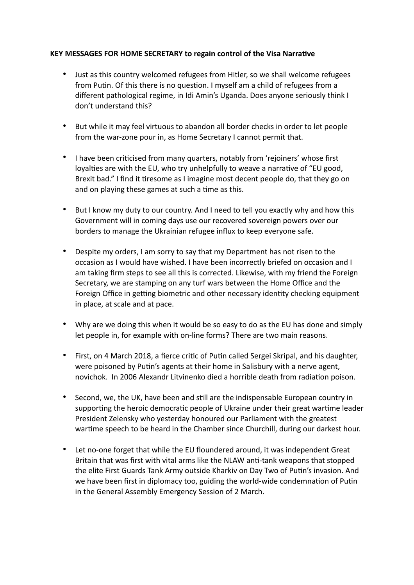## **KEY MESSAGES FOR HOME SECRETARY to regain control of the Visa Narrative**

- Just as this country welcomed refugees from Hitler, so we shall welcome refugees from Putin. Of this there is no question. I myself am a child of refugees from a different pathological regime, in Idi Amin's Uganda. Does anyone seriously think I don't understand this?
- But while it may feel virtuous to abandon all border checks in order to let people from the war-zone pour in, as Home Secretary I cannot permit that.
- I have been criticised from many quarters, notably from 'rejoiners' whose first loyalties are with the EU, who try unhelpfully to weave a narrative of "EU good, Brexit bad." I find it tiresome as I imagine most decent people do, that they go on and on playing these games at such a time as this.
- But I know my duty to our country. And I need to tell you exactly why and how this Government will in coming days use our recovered sovereign powers over our borders to manage the Ukrainian refugee influx to keep everyone safe.
- Despite my orders, I am sorry to say that my Department has not risen to the occasion as I would have wished. I have been incorrectly briefed on occasion and I am taking firm steps to see all this is corrected. Likewise, with my friend the Foreign Secretary, we are stamping on any turf wars between the Home Office and the Foreign Office in getting biometric and other necessary identity checking equipment in place, at scale and at pace.
- Why are we doing this when it would be so easy to do as the EU has done and simply let people in, for example with on-line forms? There are two main reasons.
- First, on 4 March 2018, a fierce critic of Putin called Sergei Skripal, and his daughter, were poisoned by Putin's agents at their home in Salisbury with a nerve agent, novichok. In 2006 Alexandr Litvinenko died a horrible death from radiation poison.
- Second, we, the UK, have been and still are the indispensable European country in supporting the heroic democratic people of Ukraine under their great wartime leader President Zelensky who yesterday honoured our Parliament with the greatest wartime speech to be heard in the Chamber since Churchill, during our darkest hour.
- Let no-one forget that while the EU floundered around, it was independent Great Britain that was first with vital arms like the NLAW anti-tank weapons that stopped the elite First Guards Tank Army outside Kharkiv on Day Two of Putin's invasion. And we have been first in diplomacy too, guiding the world-wide condemnation of Putin in the General Assembly Emergency Session of 2 March.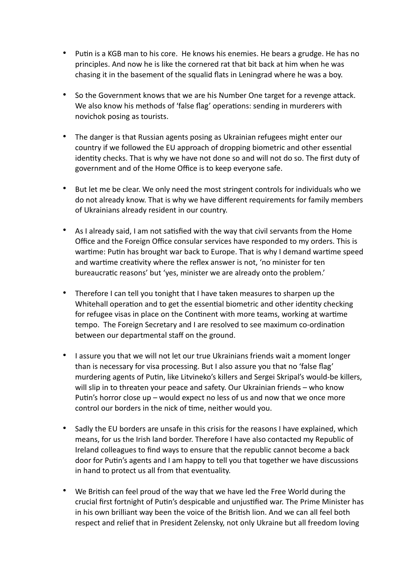- Putin is a KGB man to his core. He knows his enemies. He bears a grudge. He has no principles. And now he is like the cornered rat that bit back at him when he was chasing it in the basement of the squalid flats in Leningrad where he was a boy.
- So the Government knows that we are his Number One target for a revenge attack. We also know his methods of 'false flag' operations: sending in murderers with novichok posing as tourists.
- The danger is that Russian agents posing as Ukrainian refugees might enter our country if we followed the EU approach of dropping biometric and other essential identity checks. That is why we have not done so and will not do so. The first duty of government and of the Home Office is to keep everyone safe.
- But let me be clear. We only need the most stringent controls for individuals who we do not already know. That is why we have different requirements for family members of Ukrainians already resident in our country.
- As I already said, I am not satisfied with the way that civil servants from the Home Office and the Foreign Office consular services have responded to my orders. This is wartime: Putin has brought war back to Europe. That is why I demand wartime speed and wartime creativity where the reflex answer is not, 'no minister for ten bureaucratic reasons' but 'yes, minister we are already onto the problem.'
- Therefore I can tell you tonight that I have taken measures to sharpen up the Whitehall operation and to get the essential biometric and other identity checking for refugee visas in place on the Continent with more teams, working at wartime tempo. The Foreign Secretary and I are resolved to see maximum co-ordination between our departmental staff on the ground.
- I assure you that we will not let our true Ukrainians friends wait a moment longer than is necessary for visa processing. But I also assure you that no 'false flag' murdering agents of Putin, like Litvineko's killers and Sergei Skripal's would-be killers, will slip in to threaten your peace and safety. Our Ukrainian friends – who know Putin's horror close up – would expect no less of us and now that we once more control our borders in the nick of time, neither would you.
- Sadly the EU borders are unsafe in this crisis for the reasons I have explained, which means, for us the Irish land border. Therefore I have also contacted my Republic of Ireland colleagues to find ways to ensure that the republic cannot become a back door for Putin's agents and I am happy to tell you that together we have discussions in hand to protect us all from that eventuality.
- We British can feel proud of the way that we have led the Free World during the crucial first fortnight of Putin's despicable and unjustified war. The Prime Minister has in his own brilliant way been the voice of the British lion. And we can all feel both respect and relief that in President Zelensky, not only Ukraine but all freedom loving